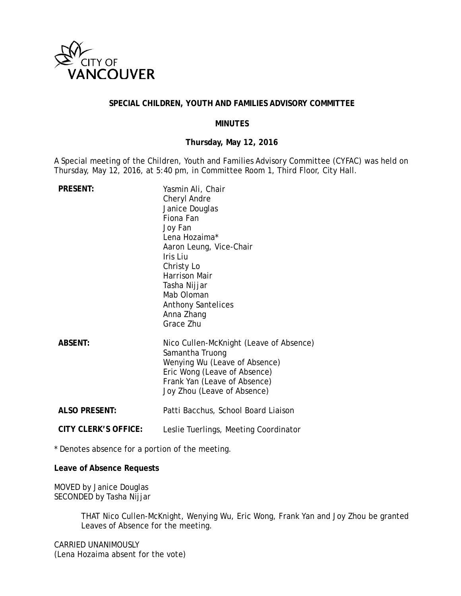

## **SPECIAL CHILDREN, YOUTH AND FAMILIES ADVISORY COMMITTEE**

### **MINUTES**

## **Thursday, May 12, 2016**

A Special meeting of the Children, Youth and Families Advisory Committee (CYFAC) was held on Thursday, May 12, 2016, at 5:40 pm, in Committee Room 1, Third Floor, City Hall.

| <b>PRESENT:</b>             | Yasmin Ali, Chair<br>Cheryl Andre<br>Janice Douglas<br>Fiona Fan<br>Joy Fan<br>Lena Hozaima*<br>Aaron Leung, Vice-Chair<br>Iris Liu<br>Christy Lo<br><b>Harrison Mair</b><br>Tasha Nijjar<br>Mab Oloman<br><b>Anthony Santelices</b><br>Anna Zhang<br>Grace Zhu |
|-----------------------------|-----------------------------------------------------------------------------------------------------------------------------------------------------------------------------------------------------------------------------------------------------------------|
| <b>ABSENT:</b>              | Nico Cullen-McKnight (Leave of Absence)<br>Samantha Truong<br>Wenying Wu (Leave of Absence)<br>Eric Wong (Leave of Absence)<br>Frank Yan (Leave of Absence)<br>Joy Zhou (Leave of Absence)                                                                      |
| <b>ALSO PRESENT:</b>        | Patti Bacchus, School Board Liaison                                                                                                                                                                                                                             |
| <b>CITY CLERK'S OFFICE:</b> | Leslie Tuerlings, Meeting Coordinator                                                                                                                                                                                                                           |

\* Denotes absence for a portion of the meeting.

**Leave of Absence Requests**

MOVED by Janice Douglas SECONDED by Tasha Nijjar

> THAT Nico Cullen-McKnight, Wenying Wu, Eric Wong, Frank Yan and Joy Zhou be granted Leaves of Absence for the meeting.

CARRIED UNANIMOUSLY (Lena Hozaima absent for the vote)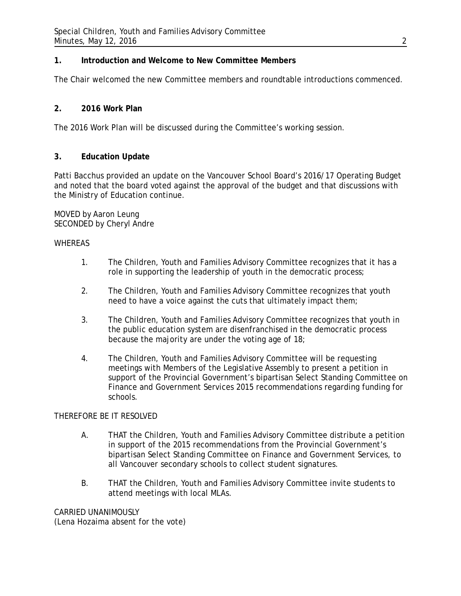# **1. Introduction and Welcome to New Committee Members**

The Chair welcomed the new Committee members and roundtable introductions commenced.

# **2. 2016 Work Plan**

The 2016 Work Plan will be discussed during the Committee's working session.

## **3. Education Update**

Patti Bacchus provided an update on the Vancouver School Board's 2016/17 Operating Budget and noted that the board voted against the approval of the budget and that discussions with the Ministry of Education continue.

MOVED by Aaron Leung SECONDED by Cheryl Andre

#### **WHEREAS**

- 1. The Children, Youth and Families Advisory Committee recognizes that it has a role in supporting the leadership of youth in the democratic process;
- 2. The Children, Youth and Families Advisory Committee recognizes that youth need to have a voice against the cuts that ultimately impact them;
- 3. The Children, Youth and Families Advisory Committee recognizes that youth in the public education system are disenfranchised in the democratic process because the majority are under the voting age of 18;
- 4. The Children, Youth and Families Advisory Committee will be requesting meetings with Members of the Legislative Assembly to present a petition in support of the Provincial Government's bipartisan Select Standing Committee on Finance and Government Services 2015 recommendations regarding funding for schools.

### THEREFORE BE IT RESOLVED

- A. THAT the Children, Youth and Families Advisory Committee distribute a petition in support of the 2015 recommendations from the Provincial Government's bipartisan Select Standing Committee on Finance and Government Services, to all Vancouver secondary schools to collect student signatures.
- B. THAT the Children, Youth and Families Advisory Committee invite students to attend meetings with local MLAs.

CARRIED UNANIMOUSLY (Lena Hozaima absent for the vote)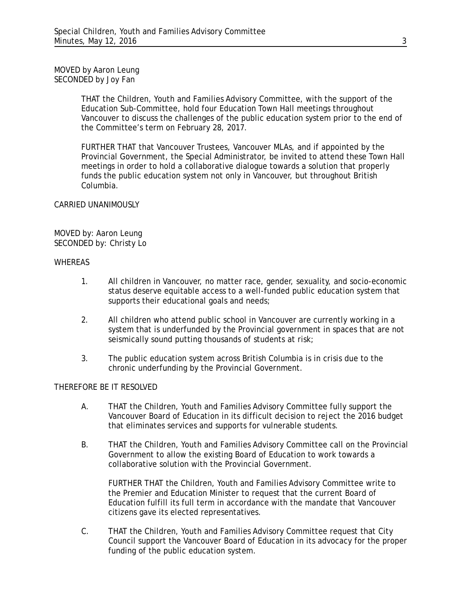MOVED by Aaron Leung SECONDED by Joy Fan

> THAT the Children, Youth and Families Advisory Committee, with the support of the Education Sub-Committee, hold four Education Town Hall meetings throughout Vancouver to discuss the challenges of the public education system prior to the end of the Committee's term on February 28, 2017.

> FURTHER THAT that Vancouver Trustees, Vancouver MLAs, and if appointed by the Provincial Government, the Special Administrator, be invited to attend these Town Hall meetings in order to hold a collaborative dialogue towards a solution that properly funds the public education system not only in Vancouver, but throughout British Columbia.

## CARRIED UNANIMOUSLY

MOVED by: Aaron Leung SECONDED by: Christy Lo

#### **WHEREAS**

- 1. All children in Vancouver, no matter race, gender, sexuality, and socio-economic status deserve equitable access to a well-funded public education system that supports their educational goals and needs;
- 2. All children who attend public school in Vancouver are currently working in a system that is underfunded by the Provincial government in spaces that are not seismically sound putting thousands of students at risk;
- 3. The public education system across British Columbia is in crisis due to the chronic underfunding by the Provincial Government.

## THEREFORE BE IT RESOLVED

- A. THAT the Children, Youth and Families Advisory Committee fully support the Vancouver Board of Education in its difficult decision to reject the 2016 budget that eliminates services and supports for vulnerable students.
- B. THAT the Children, Youth and Families Advisory Committee call on the Provincial Government to allow the existing Board of Education to work towards a collaborative solution with the Provincial Government.

FURTHER THAT the Children, Youth and Families Advisory Committee write to the Premier and Education Minister to request that the current Board of Education fulfill its full term in accordance with the mandate that Vancouver citizens gave its elected representatives.

C. THAT the Children, Youth and Families Advisory Committee request that City Council support the Vancouver Board of Education in its advocacy for the proper funding of the public education system.